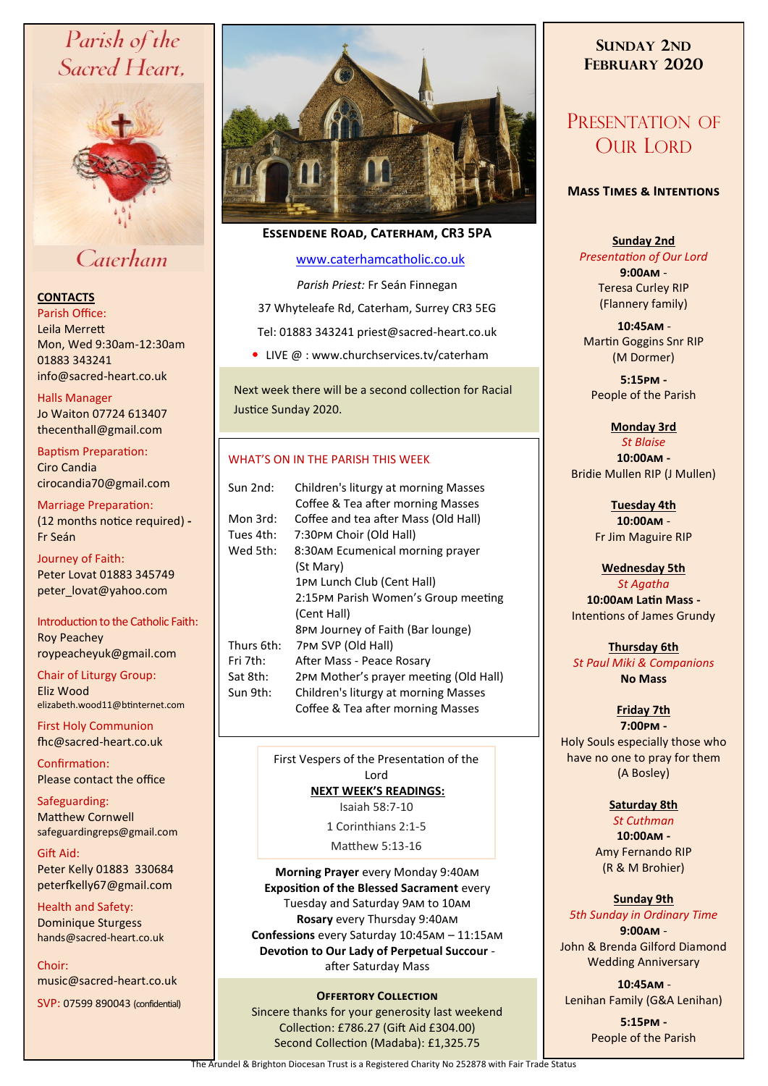# Parish of the Sacred Heart,



# Caterham

## **CONTACTS**

Parish Office: Leila Merrett Mon, Wed 9:30am-12:30am 01883 343241 info@sacred-heart.co.uk .

Halls Manager Jo Waiton 07724 613407 thecenthall@gmail.com

Baptism Preparation: Ciro Candia cirocandia70@gmail.com

Marriage Preparation: (12 months notice required) **-** Fr Seán

Journey of Faith: Peter Lovat 01883 345749 peter\_lovat@yahoo.com

Introduction to the Catholic Faith: Roy Peachey roypeacheyuk@gmail.com

Chair of Liturgy Group: Eliz Wood elizabeth.wood11@btinternet.com

First Holy Communion fhc@sacred-heart.co.uk

Confirmation: Please contact the office

Safeguarding: Matthew Cornwell safeguardingreps@gmail.com

Gift Aid: Peter Kelly 01883 330684 peterfkelly67@gmail.com

Health and Safety: Dominique Sturgess hands@sacred-heart.co.uk

Choir: music@sacred-heart.co.uk

SVP: 07599 890043 (confidential)



# **Essendene Road, Caterham, CR3 5PA**

## [www.caterhamcatholic.co.uk](http://Www.caterhamcatholic.co.uk)

*Parish Priest:* Fr Seán Finnegan

37 Whyteleafe Rd, Caterham, Surrey CR3 5EG

Tel: 01883 343241 priest@sacred-heart.co.uk

• LIVE @ : www.churchservices.tv/caterham

Next week there will be a second collection for Racial Justice Sunday 2020.

## WHAT'S ON IN THE PARISH THIS WEEK.

| Sun 2nd:   | Children's liturgy at morning Masses   |
|------------|----------------------------------------|
|            | Coffee & Tea after morning Masses      |
| Mon 3rd:   | Coffee and tea after Mass (Old Hall)   |
| Tues 4th:  | 7:30PM Choir (Old Hall)                |
| Wed 5th:   | 8:30AM Ecumenical morning prayer       |
|            | (St Mary)                              |
|            | 1PM Lunch Club (Cent Hall)             |
|            | 2:15PM Parish Women's Group meeting    |
|            | (Cent Hall)                            |
|            | 8PM Journey of Faith (Bar lounge)      |
| Thurs 6th: | 7PM SVP (Old Hall)                     |
| Fri 7th:   | After Mass - Peace Rosary              |
| Sat 8th:   | 2PM Mother's prayer meeting (Old Hall) |
| Sun 9th:   | Children's liturgy at morning Masses   |
|            | Coffee & Tea after morning Masses      |
|            |                                        |

First Vespers of the Presentation of the Lord **NEXT WEEK'S READINGS:**  Isaiah 58:7-10

1 Corinthians 2:1-5

Matthew 5:13-16

**Morning Prayer** every Monday 9:40am **Exposition of the Blessed Sacrament** every Tuesday and Saturday 9am to 10am **Rosary** every Thursday 9:40am **Confessions** every Saturday 10:45am – 11:15am **Devotion to Our Lady of Perpetual Succour**  after Saturday Mass

## **OFFERTORY COLLECTION**

Sincere thanks for your generosity last weekend Collection: £786.27 (Gift Aid £304.00) Second Collection (Madaba): £1,325.75

# **SUNDAY 2ND FEBRUARY 2020**

# PRESENTATION OF OUR LORD

#### **Mass Times & Intentions**

#### **Sunday 2nd**

*Presentation of Our Lord* **9:00am** - Teresa Curley RIP (Flannery family)

.**10:45am** - Martin Goggins Snr RIP (M Dormer)

**5:15pm -** People of the Parish

#### **Monday 3rd**  *St Blaise*

**10:00am -** Bridie Mullen RIP (J Mullen)

> **Tuesday 4th 10:00am** - Fr Jim Maguire RIP

**Wednesday 5th**  *St Agatha*

**10:00am Latin Mass -** Intentions of James Grundy

**Thursday 6th**  *St Paul Miki & Companions* **No Mass**

# **Friday 7th**

**7:00pm -** Holy Souls especially those who have no one to pray for them (A Bosley)

## **Saturday 8th**

*St Cuthman*

**10:00am -**  Amy Fernando RIP (R & M Brohier)

## **Sunday 9th**

*5th Sunday in Ordinary Time* **9:00am** -

John & Brenda Gilford Diamond Wedding Anniversary

.**10:45am** - Lenihan Family (G&A Lenihan)

> **5:15pm -** People of the Parish

The Arundel & Brighton Diocesan Trust is a Registered Charity No 252878 with Fair Trade Status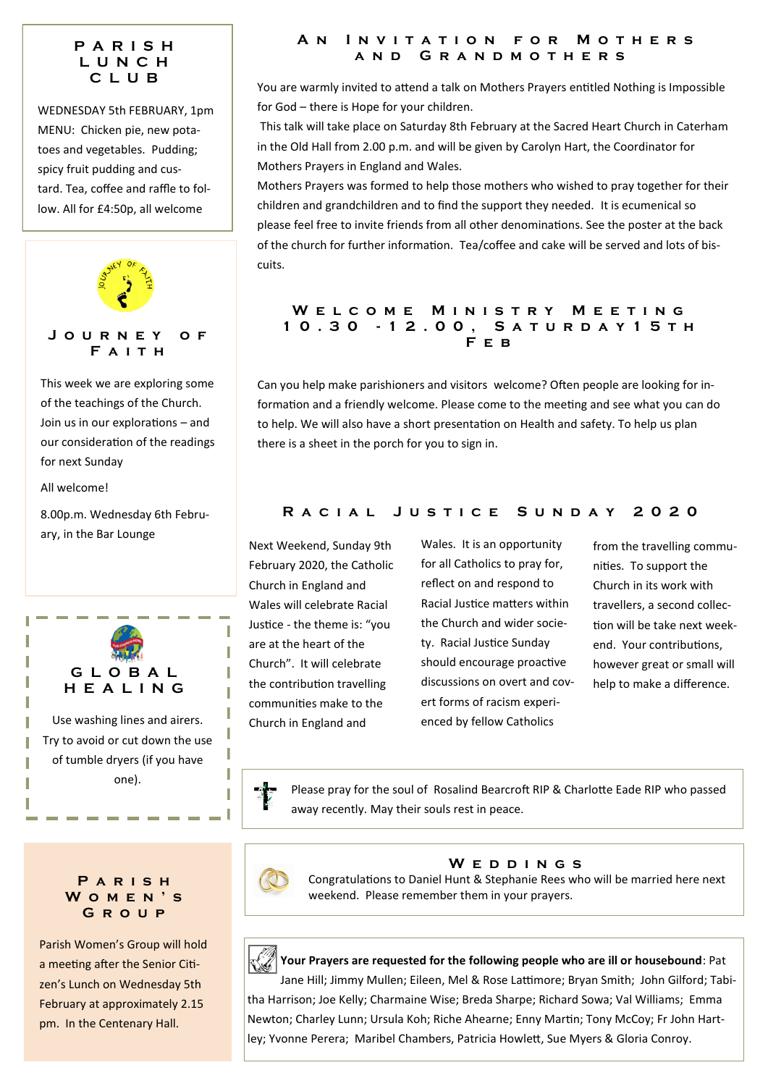# **P A R I S H L U N C H C L U B**

WEDNESDAY 5th FEBRUARY, 1pm MENU: Chicken pie, new potatoes and vegetables. Pudding; spicy fruit pudding and custard. Tea, coffee and raffle to follow. All for £4:50p, all welcome



of the teachings of the Church. Join us in our explorations – and our consideration of the readings for next Sunday

All welcome!

8.00p.m. Wednesday 6th February, in the Bar Lounge



## **P a r i s h W o m e n ' s G r o u p**

Parish Women's Group will hold a meeting after the Senior Citizen's Lunch on Wednesday 5th February at approximately 2.15 pm. In the Centenary Hall.

#### **A n I n v i t a t i o n f o r M o t h e r s a n d G r a n d m o t h e r s**

You are warmly invited to attend a talk on Mothers Prayers entitled Nothing is Impossible for God – there is Hope for your children.

This talk will take place on Saturday 8th February at the Sacred Heart Church in Caterham in the Old Hall from 2.00 p.m. and will be given by Carolyn Hart, the Coordinator for Mothers Prayers in England and Wales.

Mothers Prayers was formed to help those mothers who wished to pray together for their children and grandchildren and to find the support they needed. It is ecumenical so please feel free to invite friends from all other denominations. See the poster at the back of the church for further information. Tea/coffee and cake will be served and lots of biscuits.

## W E L C O M E M I N I S T R Y M E E T I N G **1 0 . 3 0 - 1 2 . 0 0 , S a t u r d a y 1 5 t h F e b**

Can you help make parishioners and visitors welcome? Often people are looking for information and a friendly welcome. Please come to the meeting and see what you can do to help. We will also have a short presentation on Health and safety. To help us plan there is a sheet in the porch for you to sign in.

# **R a c i a l J u s t i c e S u n d a y 2 0 2 0**

Next Weekend, Sunday 9th February 2020, the Catholic Church in England and Wales will celebrate Racial Justice - the theme is: "you are at the heart of the Church". It will celebrate the contribution travelling communities make to the Church in England and

Wales. It is an opportunity for all Catholics to pray for, reflect on and respond to Racial Justice matters within the Church and wider society. Racial Justice Sunday should encourage proactive discussions on overt and covert forms of racism experienced by fellow Catholics

from the travelling communities. To support the Church in its work with travellers, a second collection will be take next weekend. Your contributions, however great or small will help to make a difference.

I

Please pray for the soul of Rosalind Bearcroft RIP & Charlotte Eade RIP who passed away recently. May their souls rest in peace.



**W e d d i n g s**

Congratulations to Daniel Hunt & Stephanie Rees who will be married here next weekend. Please remember them in your prayers.



Jane Hill; Jimmy Mullen; Eileen, Mel & Rose Lattimore; Bryan Smith; John Gilford; Tabitha Harrison; Joe Kelly; Charmaine Wise; Breda Sharpe; Richard Sowa; Val Williams; Emma Newton; Charley Lunn; Ursula Koh; Riche Ahearne; Enny Martin; Tony McCoy; Fr John Hartley; Yvonne Perera; Maribel Chambers, Patricia Howlett, Sue Myers & Gloria Conroy.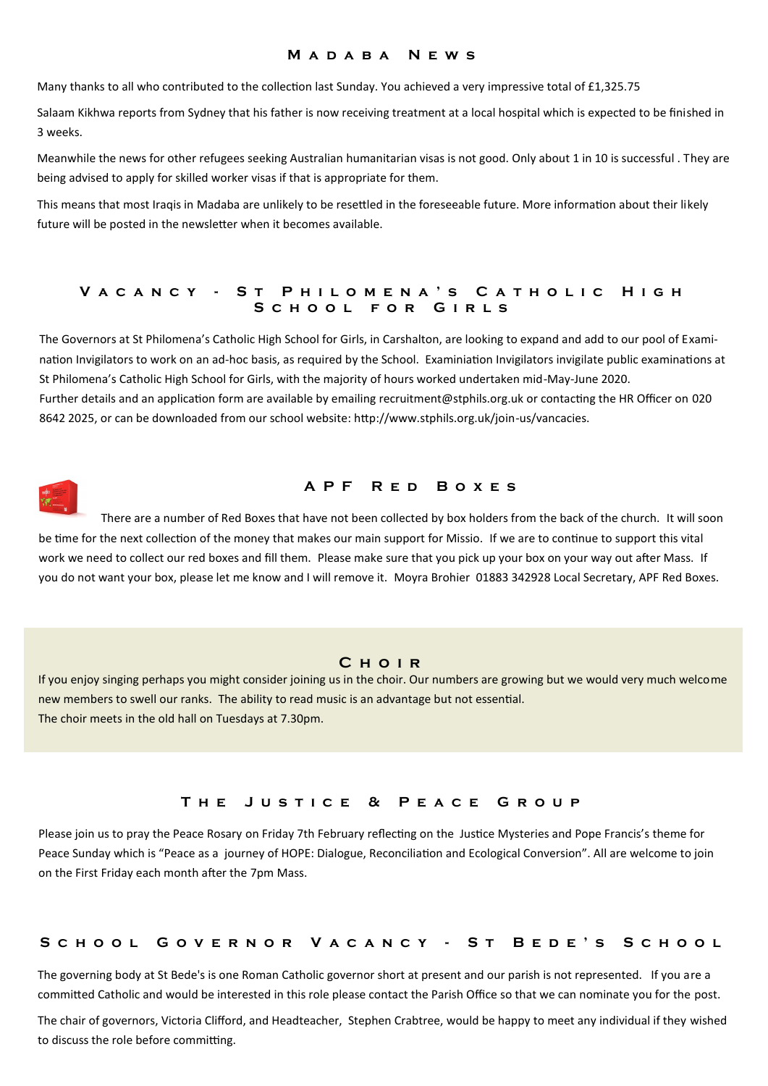#### **M a d a b a N e w s**

Many thanks to all who contributed to the collection last Sunday. You achieved a very impressive total of £1,325.75

Salaam Kikhwa reports from Sydney that his father is now receiving treatment at a local hospital which is expected to be finished in 3 weeks.

Meanwhile the news for other refugees seeking Australian humanitarian visas is not good. Only about 1 in 10 is successful . They are being advised to apply for skilled worker visas if that is appropriate for them.

This means that most Iraqis in Madaba are unlikely to be resettled in the foreseeable future. More information about their likely future will be posted in the newsletter when it becomes available.

#### V A C A N C Y - S T P H I L O M E N A 'S C A T H O L I C H I G H **S c h o o l f o r G i r l s**

The Governors at St Philomena's Catholic High School for Girls, in Carshalton, are looking to expand and add to our pool of Examination Invigilators to work on an ad-hoc basis, as required by the School. Examiniation Invigilators invigilate public examinations at St Philomena's Catholic High School for Girls, with the majority of hours worked undertaken mid-May-June 2020. Further details and an application form are available by emailing recruitment@stphils.org.uk or contacting the HR Officer on 020 8642 2025, or can be downloaded from our school website: http://www.stphils.org.uk/join-us/vancacies.



#### **A P F R e d B o x e s**

There are a number of Red Boxes that have not been collected by box holders from the back of the church. It will soon be time for the next collection of the money that makes our main support for Missio. If we are to continue to support this vital work we need to collect our red boxes and fill them. Please make sure that you pick up your box on your way out after Mass. If you do not want your box, please let me know and I will remove it. Moyra Brohier 01883 342928 Local Secretary, APF Red Boxes.

#### **C h o i r**

If you enjoy singing perhaps you might consider joining us in the choir. Our numbers are growing but we would very much welcome new members to swell our ranks. The ability to read music is an advantage but not essential. The choir meets in the old hall on Tuesdays at 7.30pm.

### **T h e J u s t i c e & P e a c e G r o u p**

Please join us to pray the Peace Rosary on Friday 7th February reflecting on the Justice Mysteries and Pope Francis's theme for Peace Sunday which is "Peace as a journey of HOPE: Dialogue, Reconciliation and Ecological Conversion". All are welcome to join on the First Friday each month after the 7pm Mass.

#### **S c h o o l G o v e r n o r V a c a n c y - S t B e d e ' s S c h o o l**

The governing body at St Bede's is one Roman Catholic governor short at present and our parish is not represented. If you are a committed Catholic and would be interested in this role please contact the Parish Office so that we can nominate you for the post.

The chair of governors, Victoria Clifford, and Headteacher, Stephen Crabtree, would be happy to meet any individual if they wished to discuss the role before committing.